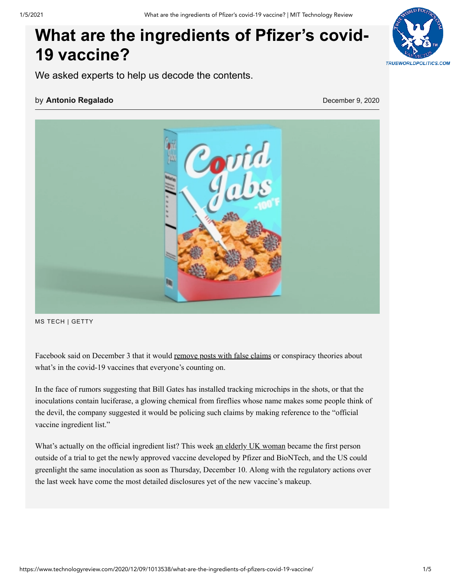# **What are the ingredients of Pfizer's covid-19 vaccine?**



We asked experts to help us decode the contents.

#### by **[Antonio Regalado](https://www.technologyreview.com/author/antonio-regalado/)** December 9, 2020



MS TECH | GETTY

Facebook said on December 3 that it would [remove posts with false claims](https://www.technologyreview.com/2020/12/03/1013041/facebook-covid-vaccine-misinformation-ban/) or conspiracy theories about what's in the covid-19 vaccines that everyone's counting on.

In the face of rumors suggesting that Bill Gates has installed tracking microchips in the shots, or that the inoculations contain luciferase, a glowing chemical from fireflies whose name makes some people think of the devil, the company suggested it would be policing such claims by making reference to the "official vaccine ingredient list."

What's actually on the official ingredient list? This week [an elderly UK woman](https://www.technologyreview.com/2020/12/08/1013388/a-uk-woman-aged-90-was-the-first-in-the-world-to-receive-the-pfizer-vaccine-today/) became the first person outside of a trial to get the newly approved vaccine developed by Pfizer and BioNTech, and the US could greenlight the same inoculation as soon as Thursday, December 10. Along with the regulatory actions over the last week have come the most detailed disclosures yet of the new vaccine's makeup.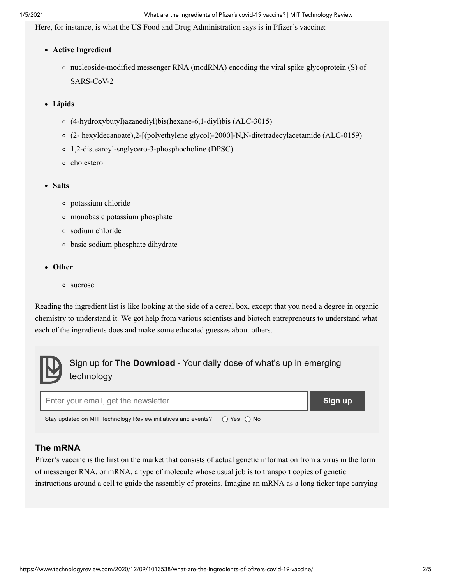Here, for instance, is what the US Food and Drug Administration says is in Pfizer's vaccine:

- **Active Ingredient**
	- nucleoside-modified messenger RNA (modRNA) encoding the viral spike glycoprotein (S) of SARS-CoV-2
- **Lipids**
	- (4-hydroxybutyl)azanediyl)bis(hexane-6,1-diyl)bis (ALC-3015)
	- (2- hexyldecanoate),2-[(polyethylene glycol)-2000]-N,N-ditetradecylacetamide (ALC-0159)
	- 1,2-distearoyl-snglycero-3-phosphocholine (DPSC)
	- o cholesterol
- **Salts**
	- potassium chloride
	- monobasic potassium phosphate
	- sodium chloride
	- basic sodium phosphate dihydrate
- **Other**
	- sucrose

Reading the ingredient list is like looking at the side of a cereal box, except that you need a degree in organic chemistry to understand it. We got help from various scientists and biotech entrepreneurs to understand what each of the ingredients does and make some educated guesses about others.



## Sign up for **The Download** - Your daily dose of what's up in emerging technology



### **The mRNA**

Pfizer's vaccine is the first on the market that consists of actual genetic information from a virus in the form of messenger RNA, or mRNA, a type of molecule whose usual job is to transport copies of genetic instructions around a cell to guide the assembly of proteins. Imagine an mRNA as a long ticker tape carrying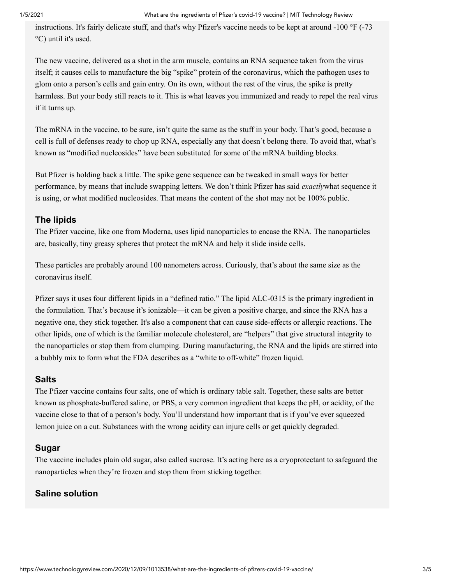instructions. It's fairly delicate stuff, and that's why Pfizer's vaccine needs to be kept at around -100 °F (-73 °C) until it's used.

The new vaccine, delivered as a shot in the arm muscle, contains an RNA sequence taken from the virus itself; it causes cells to manufacture the big "spike" protein of the coronavirus, which the pathogen uses to glom onto a person's cells and gain entry. On its own, without the rest of the virus, the spike is pretty harmless. But your body still reacts to it. This is what leaves you immunized and ready to repel the real virus if it turns up.

The mRNA in the vaccine, to be sure, isn't quite the same as the stuff in your body. That's good, because a cell is full of defenses ready to chop up RNA, especially any that doesn't belong there. To avoid that, what's known as "modified nucleosides" have been substituted for some of the mRNA building blocks.

But Pfizer is holding back a little. The spike gene sequence can be tweaked in small ways for better performance, by means that include swapping letters. We don't think Pfizer has said *exactly*what sequence it is using, or what modified nucleosides. That means the content of the shot may not be 100% public.

#### **The lipids**

The Pfizer vaccine, like one from Moderna, uses lipid nanoparticles to encase the RNA. The nanoparticles are, basically, tiny greasy spheres that protect the mRNA and help it slide inside cells.

These particles are probably around 100 nanometers across. Curiously, that's about the same size as the coronavirus itself.

Pfizer says it uses four different lipids in a "defined ratio." The lipid ALC-0315 is the primary ingredient in the formulation. That's because it's ionizable—it can be given a positive charge, and since the RNA has a negative one, they stick together. It's also a component that can cause side-effects or allergic reactions. The other lipids, one of which is the familiar molecule cholesterol, are "helpers" that give structural integrity to the nanoparticles or stop them from clumping. During manufacturing, the RNA and the lipids are stirred into a bubbly mix to form what the FDA describes as a "white to off-white" frozen liquid.

#### **Salts**

The Pfizer vaccine contains four salts, one of which is ordinary table salt. Together, these salts are better known as phosphate-buffered saline, or PBS, a very common ingredient that keeps the pH, or acidity, of the vaccine close to that of a person's body. You'll understand how important that is if you've ever squeezed lemon juice on a cut. Substances with the wrong acidity can injure cells or get quickly degraded.

#### **Sugar**

The vaccine includes plain old sugar, also called sucrose. It's acting here as a cryoprotectant to safeguard the nanoparticles when they're frozen and stop them from sticking together.

#### **Saline solution**